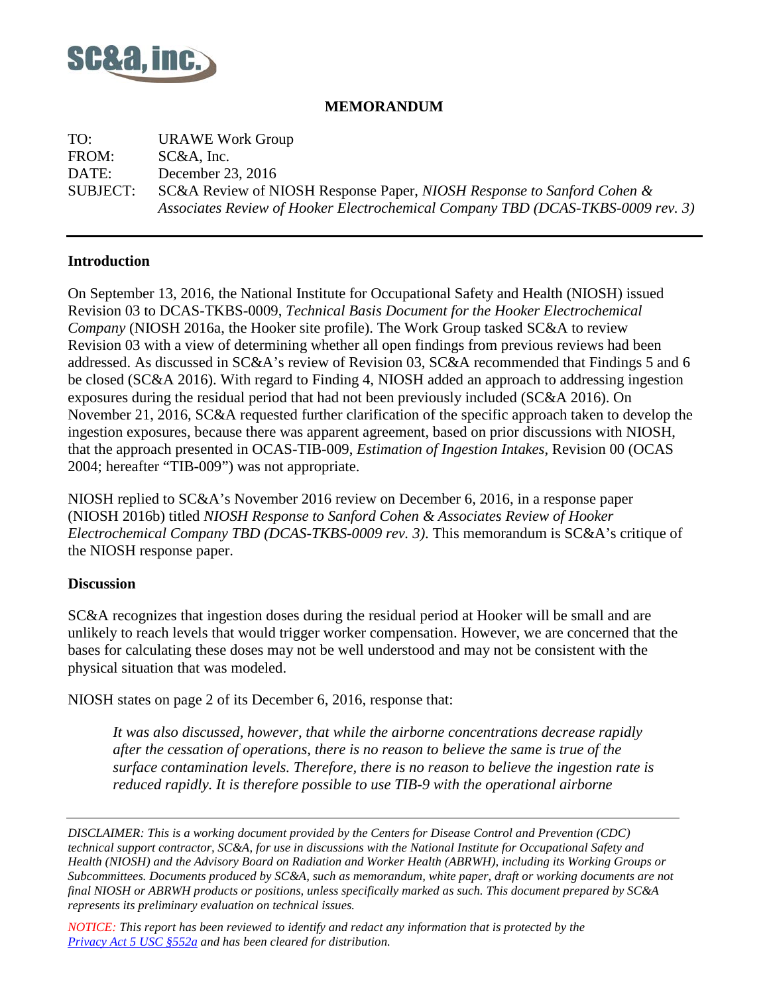

## **MEMORANDUM**

TO: URAWE Work Group FROM: SC&A, Inc. DATE: December 23, 2016 SUBJECT: SC&A Review of NIOSH Response Paper, *NIOSH Response to Sanford Cohen & Associates Review of Hooker Electrochemical Company TBD (DCAS-TKBS-0009 rev. 3)*

## **Introduction**

On September 13, 2016, the National Institute for Occupational Safety and Health (NIOSH) issued Revision 03 to DCAS-TKBS-0009, *Technical Basis Document for the Hooker Electrochemical Company* (NIOSH 2016a, the Hooker site profile). The Work Group tasked SC&A to review Revision 03 with a view of determining whether all open findings from previous reviews had been addressed. As discussed in SC&A's review of Revision 03, SC&A recommended that Findings 5 and 6 be closed (SC&A 2016). With regard to Finding 4, NIOSH added an approach to addressing ingestion exposures during the residual period that had not been previously included (SC&A 2016). On November 21, 2016, SC&A requested further clarification of the specific approach taken to develop the ingestion exposures, because there was apparent agreement, based on prior discussions with NIOSH, that the approach presented in OCAS-TIB-009, *Estimation of Ingestion Intakes*, Revision 00 (OCAS 2004; hereafter "TIB-009") was not appropriate.

NIOSH replied to SC&A's November 2016 review on December 6, 2016, in a response paper (NIOSH 2016b) titled *NIOSH Response to Sanford Cohen & Associates Review of Hooker Electrochemical Company TBD (DCAS-TKBS-0009 rev. 3)*. This memorandum is SC&A's critique of the NIOSH response paper.

## **Discussion**

SC&A recognizes that ingestion doses during the residual period at Hooker will be small and are unlikely to reach levels that would trigger worker compensation. However, we are concerned that the bases for calculating these doses may not be well understood and may not be consistent with the physical situation that was modeled.

NIOSH states on page 2 of its December 6, 2016, response that:

*It was also discussed, however, that while the airborne concentrations decrease rapidly after the cessation of operations, there is no reason to believe the same is true of the surface contamination levels. Therefore, there is no reason to believe the ingestion rate is reduced rapidly. It is therefore possible to use TIB-9 with the operational airborne* 

*DISCLAIMER: This is a working document provided by the Centers for Disease Control and Prevention (CDC) technical support contractor, SC&A, for use in discussions with the National Institute for Occupational Safety and Health (NIOSH) and the Advisory Board on Radiation and Worker Health (ABRWH), including its Working Groups or Subcommittees. Documents produced by SC&A, such as memorandum, white paper, draft or working documents are not final NIOSH or ABRWH products or positions, unless specifically marked as such. This document prepared by SC&A represents its preliminary evaluation on technical issues.*

*NOTICE: This report has been reviewed to identify and redact any information that is protected by the Privacy Act [5 USC §552a](http://www.justice.gov/opcl/privacy-act-1974) and has been cleared for distribution.*